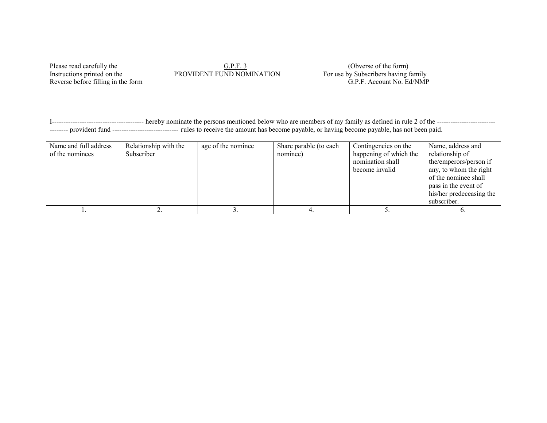## Please read carefully the G.P.F. 3 (Obverse of the form)<br>Instructions printed on the PROVIDENT FUND NOMINATION For use by Subscribers having the state of the form)

Reverse before filling in the form

For use by Subscribers having family<br>G.P.F. Account No. Ed/NMP

I---------------------------------------- hereby nominate the persons mentioned below who are members of my family as defined in rule 2 of the -------------------------- -------- provident fund ----------------------------- rules to receive the amount has become payable, or having become payable, has not been paid.

| Name and full address<br>of the nominees | Relationship with the<br>Subscriber | age of the nominee | Share parable (to each<br>nominee) | Contingencies on the<br>happening of which the<br>nomination shall<br>become invalid | Name, address and<br>relationship of<br>the/emperors/person if<br>any, to whom the right<br>of the nominee shall<br>pass in the event of<br>his/her predeceasing the<br>subscriber. |
|------------------------------------------|-------------------------------------|--------------------|------------------------------------|--------------------------------------------------------------------------------------|-------------------------------------------------------------------------------------------------------------------------------------------------------------------------------------|
|                                          |                                     |                    |                                    |                                                                                      |                                                                                                                                                                                     |